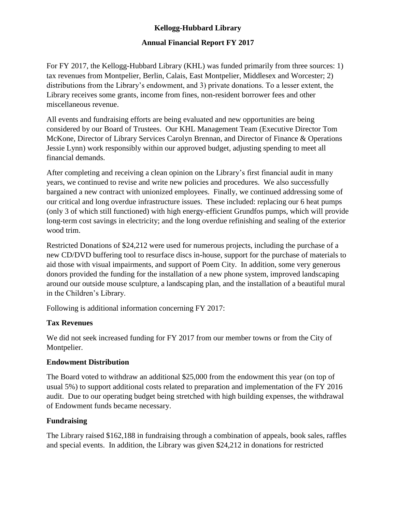# **Kellogg-Hubbard Library**

## **Annual Financial Report FY 2017**

For FY 2017, the Kellogg-Hubbard Library (KHL) was funded primarily from three sources: 1) tax revenues from Montpelier, Berlin, Calais, East Montpelier, Middlesex and Worcester; 2) distributions from the Library's endowment, and 3) private donations. To a lesser extent, the Library receives some grants, income from fines, non-resident borrower fees and other miscellaneous revenue.

All events and fundraising efforts are being evaluated and new opportunities are being considered by our Board of Trustees. Our KHL Management Team (Executive Director Tom McKone, Director of Library Services Carolyn Brennan, and Director of Finance & Operations Jessie Lynn) work responsibly within our approved budget, adjusting spending to meet all financial demands.

After completing and receiving a clean opinion on the Library's first financial audit in many years, we continued to revise and write new policies and procedures. We also successfully bargained a new contract with unionized employees. Finally, we continued addressing some of our critical and long overdue infrastructure issues. These included: replacing our 6 heat pumps (only 3 of which still functioned) with high energy-efficient Grundfos pumps, which will provide long-term cost savings in electricity; and the long overdue refinishing and sealing of the exterior wood trim.

Restricted Donations of \$24,212 were used for numerous projects, including the purchase of a new CD/DVD buffering tool to resurface discs in-house, support for the purchase of materials to aid those with visual impairments, and support of Poem City. In addition, some very generous donors provided the funding for the installation of a new phone system, improved landscaping around our outside mouse sculpture, a landscaping plan, and the installation of a beautiful mural in the Children's Library.

Following is additional information concerning FY 2017:

## **Tax Revenues**

We did not seek increased funding for FY 2017 from our member towns or from the City of Montpelier.

## **Endowment Distribution**

The Board voted to withdraw an additional \$25,000 from the endowment this year (on top of usual 5%) to support additional costs related to preparation and implementation of the FY 2016 audit. Due to our operating budget being stretched with high building expenses, the withdrawal of Endowment funds became necessary.

## **Fundraising**

The Library raised \$162,188 in fundraising through a combination of appeals, book sales, raffles and special events. In addition, the Library was given \$24,212 in donations for restricted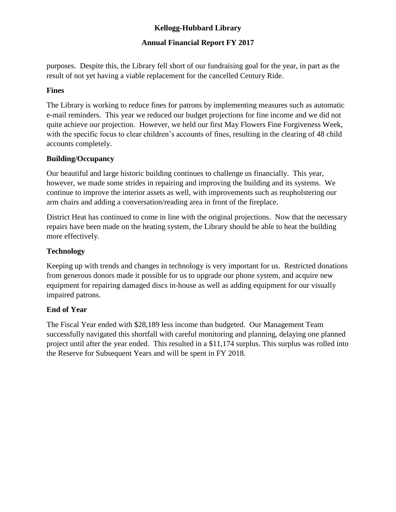# **Kellogg-Hubbard Library**

## **Annual Financial Report FY 2017**

purposes. Despite this, the Library fell short of our fundraising goal for the year, in part as the result of not yet having a viable replacement for the cancelled Century Ride.

### **Fines**

The Library is working to reduce fines for patrons by implementing measures such as automatic e-mail reminders. This year we reduced our budget projections for fine income and we did not quite achieve our projection. However, we held our first May Flowers Fine Forgiveness Week, with the specific focus to clear children's accounts of fines, resulting in the clearing of 48 child accounts completely.

### **Building/Occupancy**

Our beautiful and large historic building continues to challenge us financially. This year, however, we made some strides in repairing and improving the building and its systems. We continue to improve the interior assets as well, with improvements such as reupholstering our arm chairs and adding a conversation/reading area in front of the fireplace.

District Heat has continued to come in line with the original projections. Now that the necessary repairs have been made on the heating system, the Library should be able to heat the building more effectively.

### **Technology**

Keeping up with trends and changes in technology is very important for us. Restricted donations from generous donors made it possible for us to upgrade our phone system, and acquire new equipment for repairing damaged discs in-house as well as adding equipment for our visually impaired patrons.

### **End of Year**

The Fiscal Year ended with \$28,189 less income than budgeted. Our Management Team successfully navigated this shortfall with careful monitoring and planning, delaying one planned project until after the year ended. This resulted in a \$11,174 surplus. This surplus was rolled into the Reserve for Subsequent Years and will be spent in FY 2018.